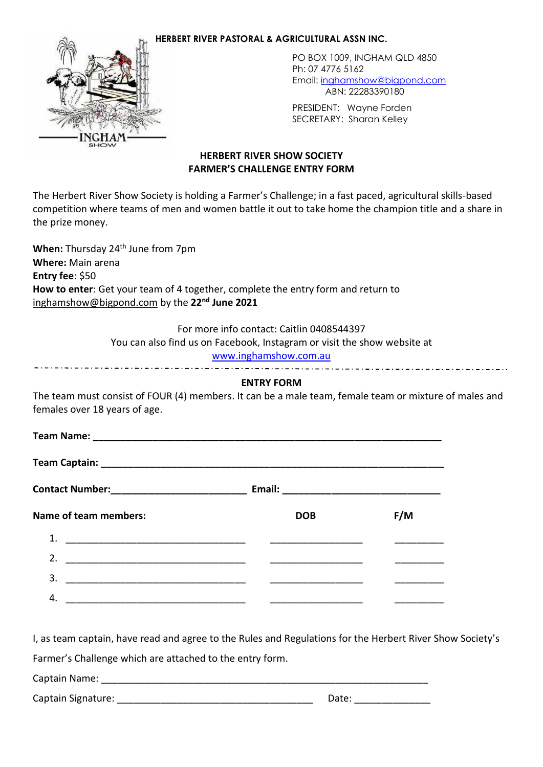### **HERBERT RIVER PASTORAL & AGRICULTURAL ASSN INC.**



PO BOX 1009, INGHAM QLD 4850 Ph: 07 4776 5162 Email: [inghamshow@bigpond.com](mailto:inghamshow@bigpond.com) ABN: 22283390180

PRESIDENT: Wayne Forden SECRETARY: Sharan Kelley

# **HERBERT RIVER SHOW SOCIETY FARMER'S CHALLENGE ENTRY FORM**

The Herbert River Show Society is holding a Farmer's Challenge; in a fast paced, agricultural skills-based competition where teams of men and women battle it out to take home the champion title and a share in the prize money.

**When:** Thursday 24<sup>th</sup> June from 7pm **Where:** Main arena **Entry fee**: \$50 **How to enter**: Get your team of 4 together, complete the entry form and return to [inghamshow@bigpond.com](mailto:inghamshow@bigpond.com) by the **22nd June 2021**

For more info contact: Caitlin 0408544397

You can also find us on Facebook, Instagram or visit the show website at

# [www.inghamshow.com.au](http://www.inghamshow.com.au/)

## **ENTRY FORM**

The team must consist of FOUR (4) members. It can be a male team, female team or mixture of males and females over 18 years of age.

**Team Name: Team 2.1** 

**Team Captain:**  $\blacksquare$ 

| <b>Contact Number:</b> |  |
|------------------------|--|
|                        |  |

**Contact Number:\_\_\_\_\_\_\_\_\_\_\_\_\_\_\_\_\_\_\_\_\_\_\_\_\_ Email: \_\_\_\_\_\_\_\_\_\_\_\_\_\_\_\_\_\_\_\_\_\_\_\_\_\_\_\_\_**

| Name of team members: | <b>DOB</b> | F/M |
|-----------------------|------------|-----|
| 1.                    |            |     |
| 2.                    |            |     |
| 3.                    |            |     |
|                       |            |     |

I, as team captain, have read and agree to the Rules and Regulations for the Herbert River Show Society's

Farmer's Challenge which are attached to the entry form.

Captain Name: **Example 20** 

Captain Signature: \_\_\_\_\_\_\_\_\_\_\_\_\_\_\_\_\_\_\_\_\_\_\_\_\_\_\_\_\_\_\_\_\_\_\_\_ Date: \_\_\_\_\_\_\_\_\_\_\_\_\_\_